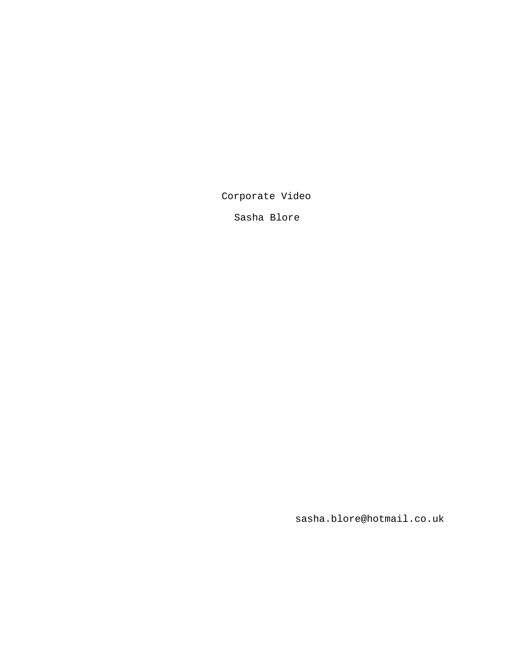Corporate Video

Sasha Blore

sasha.blore@hotmail.co.uk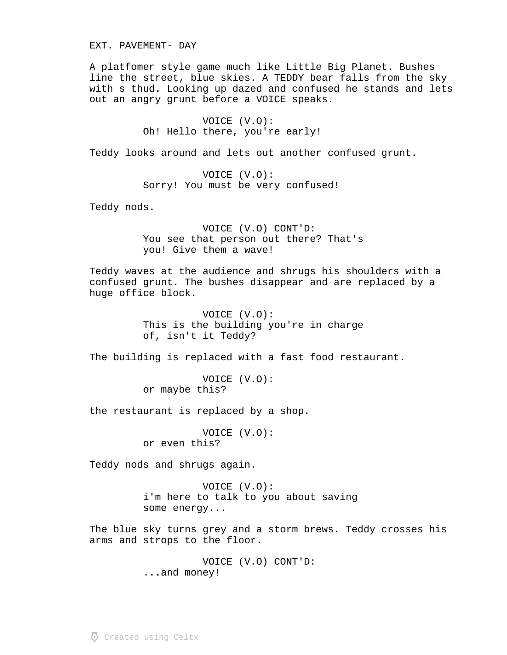EXT. PAVEMENT- DAY

A platfomer style game much like Little Big Planet. Bushes line the street, blue skies. A TEDDY bear falls from the sky with s thud. Looking up dazed and confused he stands and lets out an angry grunt before a VOICE speaks.

> VOICE (V.O): Oh! Hello there, you're early!

Teddy looks around and lets out another confused grunt.

VOICE (V.O): Sorry! You must be very confused!

Teddy nods.

VOICE (V.O) CONT'D: You see that person out there? That's you! Give them a wave!

Teddy waves at the audience and shrugs his shoulders with a confused grunt. The bushes disappear and are replaced by a huge office block.

> VOICE (V.O): This is the building you're in charge of, isn't it Teddy?

The building is replaced with a fast food restaurant.

VOICE (V.O): or maybe this?

the restaurant is replaced by a shop.

VOICE (V.O): or even this?

Teddy nods and shrugs again.

VOICE (V.O): i'm here to talk to you about saving some energy...

The blue sky turns grey and a storm brews. Teddy crosses his arms and strops to the floor.

> VOICE (V.O) CONT'D: ...and money!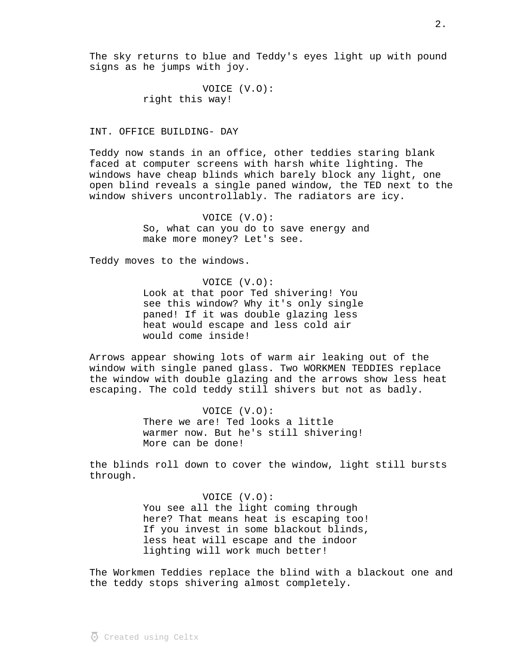The sky returns to blue and Teddy's eyes light up with pound signs as he jumps with joy.

> VOICE (V.O): right this way!

## INT. OFFICE BUILDING- DAY

Teddy now stands in an office, other teddies staring blank faced at computer screens with harsh white lighting. The windows have cheap blinds which barely block any light, one open blind reveals a single paned window, the TED next to the window shivers uncontrollably. The radiators are icy.

> VOICE (V.O): So, what can you do to save energy and make more money? Let's see.

Teddy moves to the windows.

VOICE (V.O): Look at that poor Ted shivering! You see this window? Why it's only single paned! If it was double glazing less heat would escape and less cold air would come inside!

Arrows appear showing lots of warm air leaking out of the window with single paned glass. Two WORKMEN TEDDIES replace the window with double glazing and the arrows show less heat escaping. The cold teddy still shivers but not as badly.

> VOICE (V.O): There we are! Ted looks a little warmer now. But he's still shivering! More can be done!

the blinds roll down to cover the window, light still bursts through.

> VOICE (V.O): You see all the light coming through here? That means heat is escaping too! If you invest in some blackout blinds, less heat will escape and the indoor lighting will work much better!

The Workmen Teddies replace the blind with a blackout one and the teddy stops shivering almost completely.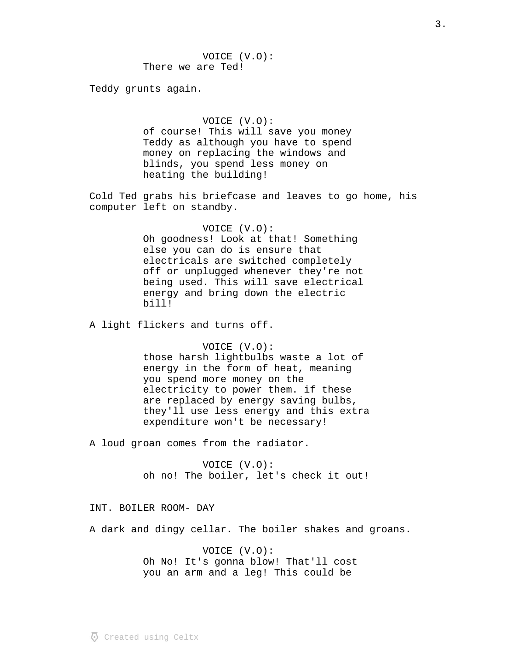Teddy grunts again.

# VOICE (V.O):

of course! This will save you money Teddy as although you have to spend money on replacing the windows and blinds, you spend less money on heating the building!

Cold Ted grabs his briefcase and leaves to go home, his computer left on standby.

# VOICE (V.O):

Oh goodness! Look at that! Something else you can do is ensure that electricals are switched completely off or unplugged whenever they're not being used. This will save electrical energy and bring down the electric bill!

A light flickers and turns off.

#### VOICE (V.O):

those harsh lightbulbs waste a lot of energy in the form of heat, meaning you spend more money on the electricity to power them. if these are replaced by energy saving bulbs, they'll use less energy and this extra expenditure won't be necessary!

A loud groan comes from the radiator.

VOICE (V.O): oh no! The boiler, let's check it out!

#### INT. BOILER ROOM- DAY

A dark and dingy cellar. The boiler shakes and groans.

VOICE (V.O): Oh No! It's gonna blow! That'll cost you an arm and a leg! This could be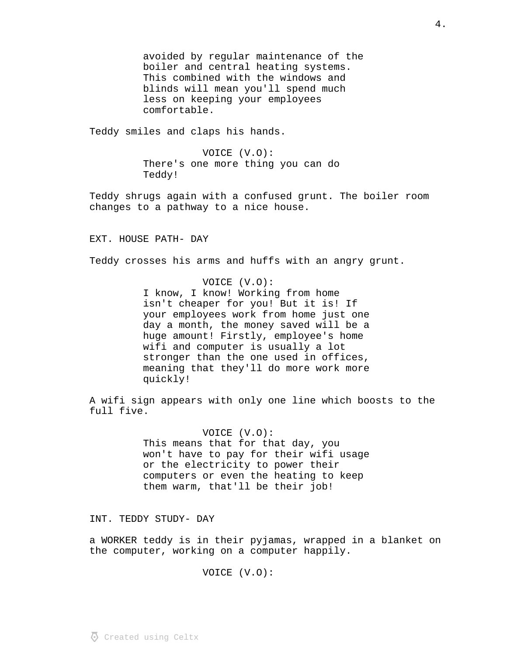avoided by regular maintenance of the boiler and central heating systems. This combined with the windows and blinds will mean you'll spend much less on keeping your employees comfortable.

Teddy smiles and claps his hands.

VOICE (V.O): There's one more thing you can do Teddy!

Teddy shrugs again with a confused grunt. The boiler room changes to a pathway to a nice house.

EXT. HOUSE PATH- DAY

Teddy crosses his arms and huffs with an angry grunt.

VOICE (V.O): I know, I know! Working from home isn't cheaper for you! But it is! If your employees work from home just one day a month, the money saved will be a huge amount! Firstly, employee's home wifi and computer is usually a lot stronger than the one used in offices, meaning that they'll do more work more quickly!

A wifi sign appears with only one line which boosts to the full five.

> VOICE (V.O): This means that for that day, you won't have to pay for their wifi usage or the electricity to power their computers or even the heating to keep them warm, that'll be their job!

INT. TEDDY STUDY- DAY

a WORKER teddy is in their pyjamas, wrapped in a blanket on the computer, working on a computer happily.

VOICE (V.O):